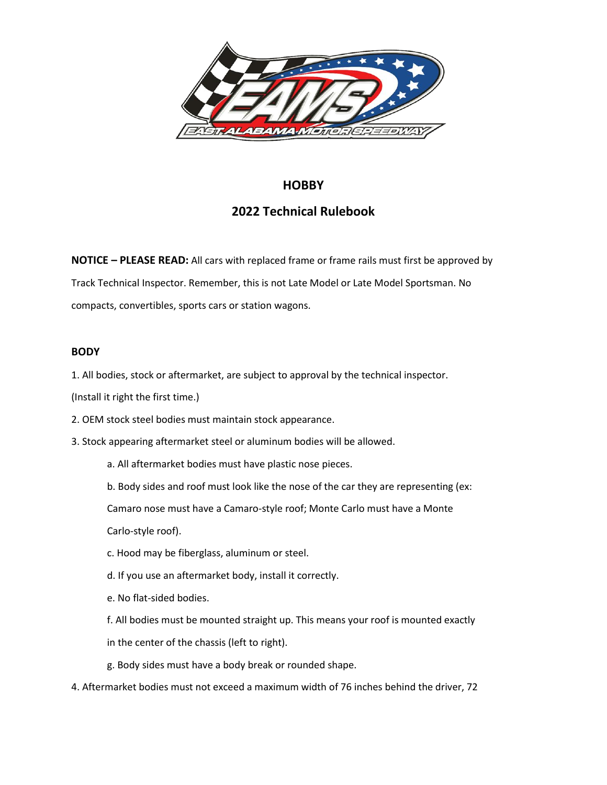

# **HOBBY**

# **2022 Technical Rulebook**

**NOTICE – PLEASE READ:** All cars with replaced frame or frame rails must first be approved by Track Technical Inspector. Remember, this is not Late Model or Late Model Sportsman. No compacts, convertibles, sports cars or station wagons.

# **BODY**

1. All bodies, stock or aftermarket, are subject to approval by the technical inspector.

(Install it right the first time.)

- 2. OEM stock steel bodies must maintain stock appearance.
- 3. Stock appearing aftermarket steel or aluminum bodies will be allowed.
	- a. All aftermarket bodies must have plastic nose pieces.
	- b. Body sides and roof must look like the nose of the car they are representing (ex:

Camaro nose must have a Camaro-style roof; Monte Carlo must have a Monte

Carlo-style roof).

- c. Hood may be fiberglass, aluminum or steel.
- d. If you use an aftermarket body, install it correctly.
- e. No flat-sided bodies.
- f. All bodies must be mounted straight up. This means your roof is mounted exactly
- in the center of the chassis (left to right).
- g. Body sides must have a body break or rounded shape.
- 4. Aftermarket bodies must not exceed a maximum width of 76 inches behind the driver, 72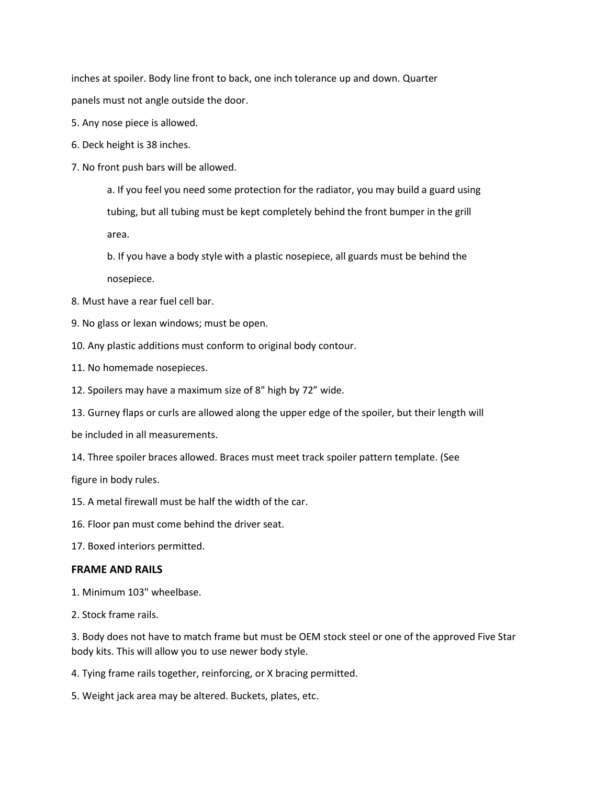inches at spoiler. Body line front to back, one inch tolerance up and down. Quarter panels must not angle outside the door.

- 5. Any nose piece is allowed.
- 6. Deck height is 38 inches.
- 7. No front push bars will be allowed.

a. If you feel you need some protection for the radiator, you may build a guard using tubing, but all tubing must be kept completely behind the front bumper in the grill area.

b. If you have a body style with a plastic nosepiece, all guards must be behind the nosepiece.

- 8. Must have a rear fuel cell bar.
- 9. No glass or lexan windows; must be open.
- 10. Any plastic additions must conform to original body contour.
- 11. No homemade nosepieces.
- 12. Spoilers may have a maximum size of 8" high by 72" wide.
- 13. Gurney flaps or curls are allowed along the upper edge of the spoiler, but their length will

be included in all measurements.

14. Three spoiler braces allowed. Braces must meet track spoiler pattern template. (See

figure in body rules.

- 15. A metal firewall must be half the width of the car.
- 16. Floor pan must come behind the driver seat.
- 17. Boxed interiors permitted.

# **FRAME AND RAILS**

- 1. Minimum 103" wheelbase.
- 2. Stock frame rails.

3. Body does not have to match frame but must be OEM stock steel or one of the approved Five Star body kits. This will allow you to use newer body style.

- 4. Tying frame rails together, reinforcing, or X bracing permitted.
- 5. Weight jack area may be altered. Buckets, plates, etc.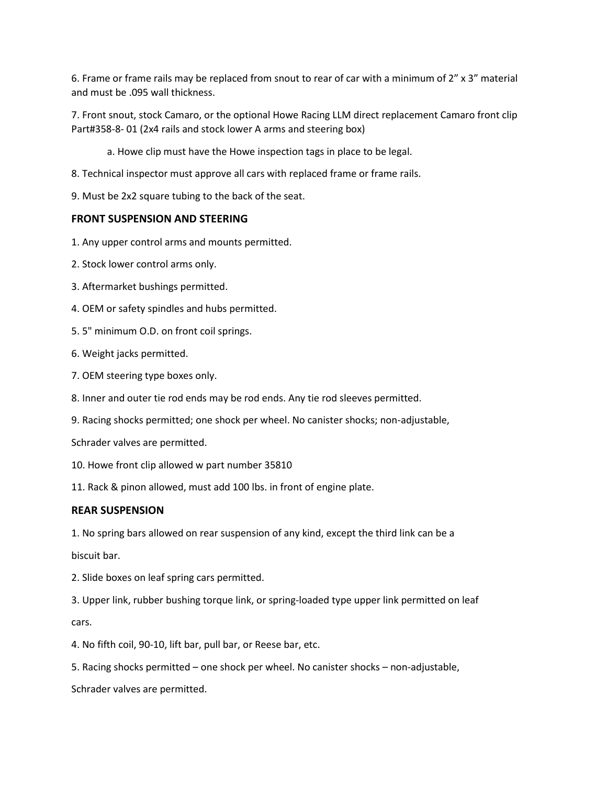6. Frame or frame rails may be replaced from snout to rear of car with a minimum of 2" x 3" material and must be .095 wall thickness.

7. Front snout, stock Camaro, or the optional Howe Racing LLM direct replacement Camaro front clip Part#358-8- 01 (2x4 rails and stock lower A arms and steering box)

a. Howe clip must have the Howe inspection tags in place to be legal.

8. Technical inspector must approve all cars with replaced frame or frame rails.

9. Must be 2x2 square tubing to the back of the seat.

# **FRONT SUSPENSION AND STEERING**

- 1. Any upper control arms and mounts permitted.
- 2. Stock lower control arms only.
- 3. Aftermarket bushings permitted.
- 4. OEM or safety spindles and hubs permitted.
- 5. 5" minimum O.D. on front coil springs.
- 6. Weight jacks permitted.
- 7. OEM steering type boxes only.
- 8. Inner and outer tie rod ends may be rod ends. Any tie rod sleeves permitted.
- 9. Racing shocks permitted; one shock per wheel. No canister shocks; non-adjustable,
- Schrader valves are permitted.
- 10. Howe front clip allowed w part number 35810
- 11. Rack & pinon allowed, must add 100 lbs. in front of engine plate.

# **REAR SUSPENSION**

1. No spring bars allowed on rear suspension of any kind, except the third link can be a

biscuit bar.

2. Slide boxes on leaf spring cars permitted.

3. Upper link, rubber bushing torque link, or spring-loaded type upper link permitted on leaf cars.

- 4. No fifth coil, 90-10, lift bar, pull bar, or Reese bar, etc.
- 5. Racing shocks permitted one shock per wheel. No canister shocks non-adjustable,

Schrader valves are permitted.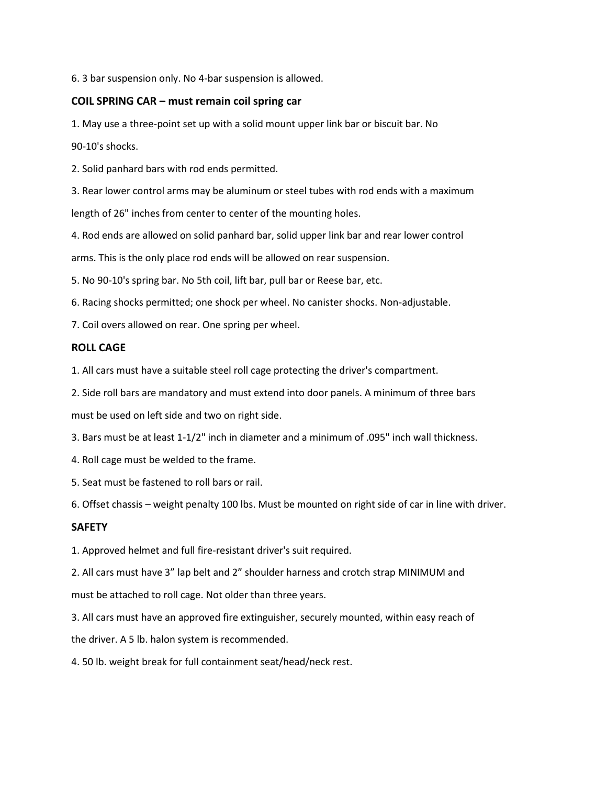6. 3 bar suspension only. No 4-bar suspension is allowed.

# **COIL SPRING CAR – must remain coil spring car**

1. May use a three-point set up with a solid mount upper link bar or biscuit bar. No

90-10's shocks.

2. Solid panhard bars with rod ends permitted.

3. Rear lower control arms may be aluminum or steel tubes with rod ends with a maximum length of 26" inches from center to center of the mounting holes.

4. Rod ends are allowed on solid panhard bar, solid upper link bar and rear lower control

arms. This is the only place rod ends will be allowed on rear suspension.

5. No 90-10's spring bar. No 5th coil, lift bar, pull bar or Reese bar, etc.

6. Racing shocks permitted; one shock per wheel. No canister shocks. Non-adjustable.

7. Coil overs allowed on rear. One spring per wheel.

### **ROLL CAGE**

1. All cars must have a suitable steel roll cage protecting the driver's compartment.

2. Side roll bars are mandatory and must extend into door panels. A minimum of three bars

must be used on left side and two on right side.

3. Bars must be at least 1-1/2" inch in diameter and a minimum of .095" inch wall thickness.

4. Roll cage must be welded to the frame.

5. Seat must be fastened to roll bars or rail.

6. Offset chassis – weight penalty 100 lbs. Must be mounted on right side of car in line with driver.

# **SAFETY**

1. Approved helmet and full fire-resistant driver's suit required.

2. All cars must have 3" lap belt and 2" shoulder harness and crotch strap MINIMUM and must be attached to roll cage. Not older than three years.

3. All cars must have an approved fire extinguisher, securely mounted, within easy reach of

the driver. A 5 lb. halon system is recommended.

4. 50 lb. weight break for full containment seat/head/neck rest.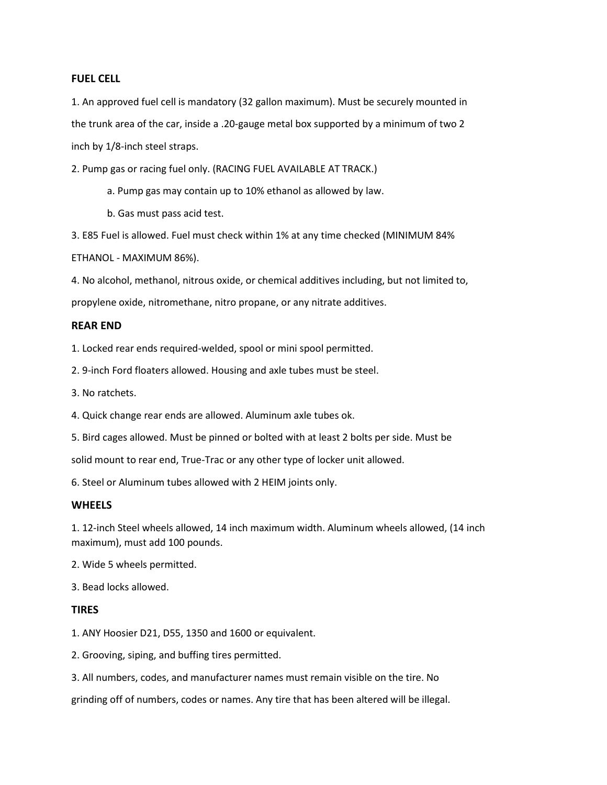#### **FUEL CELL**

1. An approved fuel cell is mandatory (32 gallon maximum). Must be securely mounted in the trunk area of the car, inside a .20-gauge metal box supported by a minimum of two 2 inch by 1/8-inch steel straps.

2. Pump gas or racing fuel only. (RACING FUEL AVAILABLE AT TRACK.)

a. Pump gas may contain up to 10% ethanol as allowed by law.

b. Gas must pass acid test.

3. E85 Fuel is allowed. Fuel must check within 1% at any time checked (MINIMUM 84% ETHANOL - MAXIMUM 86%).

4. No alcohol, methanol, nitrous oxide, or chemical additives including, but not limited to,

propylene oxide, nitromethane, nitro propane, or any nitrate additives.

### **REAR END**

1. Locked rear ends required-welded, spool or mini spool permitted.

2. 9-inch Ford floaters allowed. Housing and axle tubes must be steel.

3. No ratchets.

4. Quick change rear ends are allowed. Aluminum axle tubes ok.

5. Bird cages allowed. Must be pinned or bolted with at least 2 bolts per side. Must be

solid mount to rear end, True-Trac or any other type of locker unit allowed.

6. Steel or Aluminum tubes allowed with 2 HEIM joints only.

#### **WHEELS**

1. 12-inch Steel wheels allowed, 14 inch maximum width. Aluminum wheels allowed, (14 inch maximum), must add 100 pounds.

2. Wide 5 wheels permitted.

3. Bead locks allowed.

# **TIRES**

1. ANY Hoosier D21, D55, 1350 and 1600 or equivalent.

2. Grooving, siping, and buffing tires permitted.

3. All numbers, codes, and manufacturer names must remain visible on the tire. No

grinding off of numbers, codes or names. Any tire that has been altered will be illegal.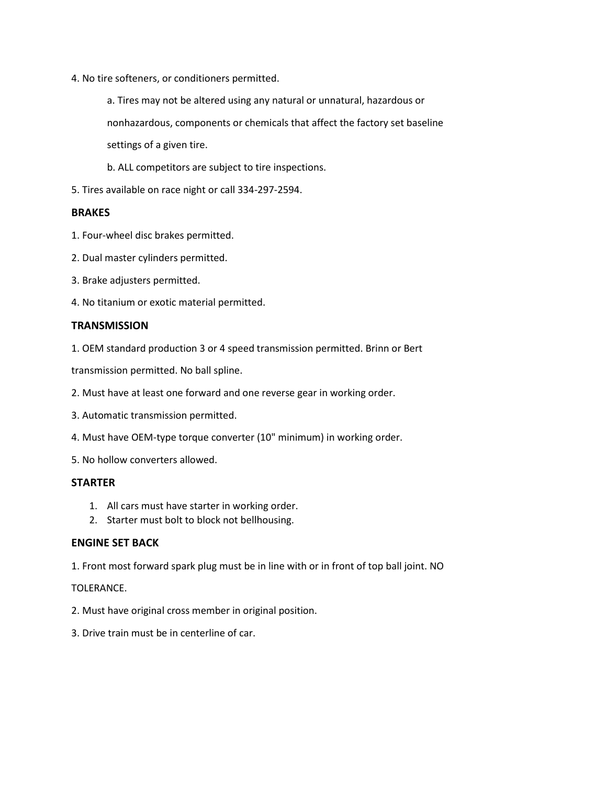- 4. No tire softeners, or conditioners permitted.
	- a. Tires may not be altered using any natural or unnatural, hazardous or nonhazardous, components or chemicals that affect the factory set baseline settings of a given tire.
	- b. ALL competitors are subject to tire inspections.
- 5. Tires available on race night or call 334-297-2594.

### **BRAKES**

- 1. Four-wheel disc brakes permitted.
- 2. Dual master cylinders permitted.
- 3. Brake adjusters permitted.
- 4. No titanium or exotic material permitted.

### **TRANSMISSION**

1. OEM standard production 3 or 4 speed transmission permitted. Brinn or Bert

transmission permitted. No ball spline.

- 2. Must have at least one forward and one reverse gear in working order.
- 3. Automatic transmission permitted.
- 4. Must have OEM-type torque converter (10" minimum) in working order.

5. No hollow converters allowed.

### **STARTER**

- 1. All cars must have starter in working order.
- 2. Starter must bolt to block not bellhousing.

# **ENGINE SET BACK**

1. Front most forward spark plug must be in line with or in front of top ball joint. NO

### TOLERANCE.

- 2. Must have original cross member in original position.
- 3. Drive train must be in centerline of car.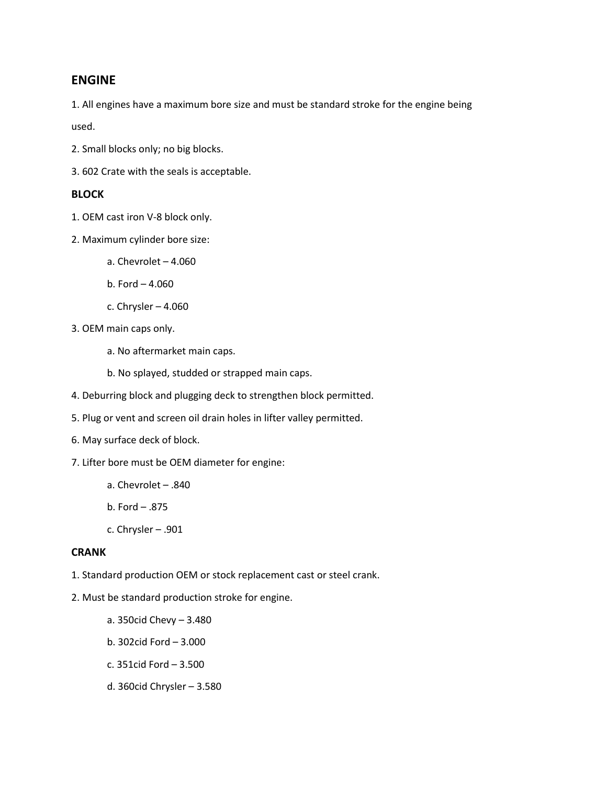# **ENGINE**

1. All engines have a maximum bore size and must be standard stroke for the engine being used.

- 2. Small blocks only; no big blocks.
- 3. 602 Crate with the seals is acceptable.

# **BLOCK**

- 1. OEM cast iron V-8 block only.
- 2. Maximum cylinder bore size:
	- a. Chevrolet 4.060
	- b. Ford 4.060
	- c. Chrysler 4.060
- 3. OEM main caps only.
	- a. No aftermarket main caps.
	- b. No splayed, studded or strapped main caps.
- 4. Deburring block and plugging deck to strengthen block permitted.
- 5. Plug or vent and screen oil drain holes in lifter valley permitted.
- 6. May surface deck of block.
- 7. Lifter bore must be OEM diameter for engine:
	- a. Chevrolet .840
	- b. Ford .875
	- c. Chrysler .901

# **CRANK**

- 1. Standard production OEM or stock replacement cast or steel crank.
- 2. Must be standard production stroke for engine.
	- a. 350cid Chevy 3.480
	- b. 302cid Ford 3.000
	- c. 351cid Ford 3.500
	- d. 360cid Chrysler 3.580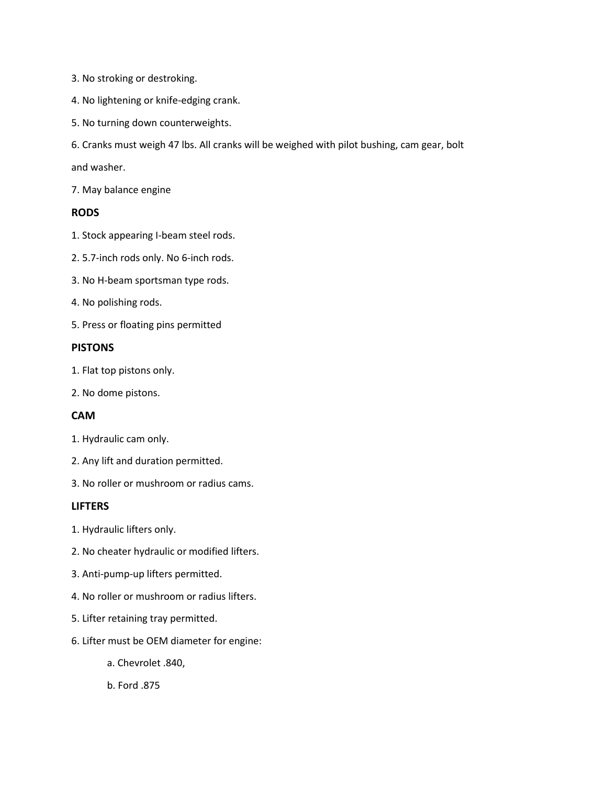- 3. No stroking or destroking.
- 4. No lightening or knife-edging crank.
- 5. No turning down counterweights.
- 6. Cranks must weigh 47 lbs. All cranks will be weighed with pilot bushing, cam gear, bolt

and washer.

7. May balance engine

# **RODS**

- 1. Stock appearing I-beam steel rods.
- 2. 5.7-inch rods only. No 6-inch rods.
- 3. No H-beam sportsman type rods.
- 4. No polishing rods.
- 5. Press or floating pins permitted

### **PISTONS**

- 1. Flat top pistons only.
- 2. No dome pistons.

# **CAM**

- 1. Hydraulic cam only.
- 2. Any lift and duration permitted.
- 3. No roller or mushroom or radius cams.

# **LIFTERS**

- 1. Hydraulic lifters only.
- 2. No cheater hydraulic or modified lifters.
- 3. Anti-pump-up lifters permitted.
- 4. No roller or mushroom or radius lifters.
- 5. Lifter retaining tray permitted.
- 6. Lifter must be OEM diameter for engine:
	- a. Chevrolet .840,
	- b. Ford .875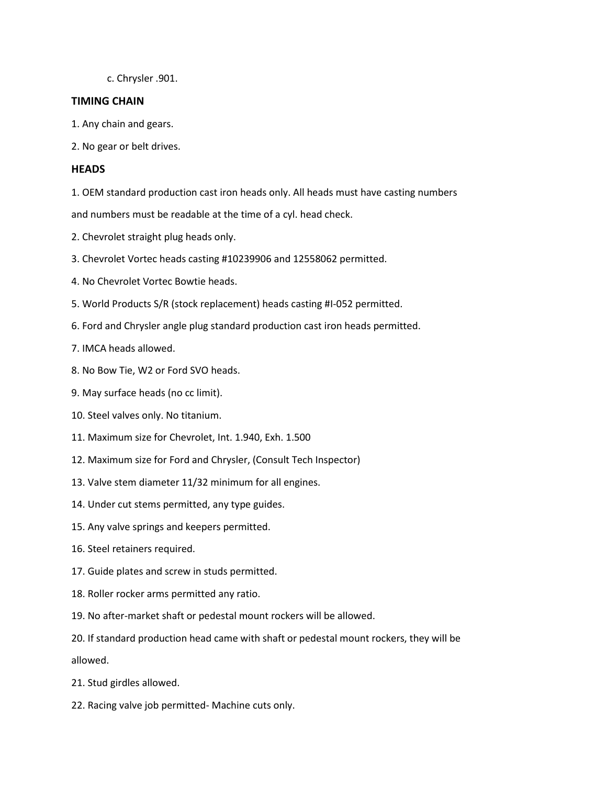c. Chrysler .901.

### **TIMING CHAIN**

- 1. Any chain and gears.
- 2. No gear or belt drives.

# **HEADS**

1. OEM standard production cast iron heads only. All heads must have casting numbers

and numbers must be readable at the time of a cyl. head check.

- 2. Chevrolet straight plug heads only.
- 3. Chevrolet Vortec heads casting #10239906 and 12558062 permitted.
- 4. No Chevrolet Vortec Bowtie heads.
- 5. World Products S/R (stock replacement) heads casting #I-052 permitted.
- 6. Ford and Chrysler angle plug standard production cast iron heads permitted.
- 7. IMCA heads allowed.
- 8. No Bow Tie, W2 or Ford SVO heads.
- 9. May surface heads (no cc limit).
- 10. Steel valves only. No titanium.
- 11. Maximum size for Chevrolet, Int. 1.940, Exh. 1.500
- 12. Maximum size for Ford and Chrysler, (Consult Tech Inspector)
- 13. Valve stem diameter 11/32 minimum for all engines.
- 14. Under cut stems permitted, any type guides.
- 15. Any valve springs and keepers permitted.
- 16. Steel retainers required.
- 17. Guide plates and screw in studs permitted.
- 18. Roller rocker arms permitted any ratio.
- 19. No after-market shaft or pedestal mount rockers will be allowed.
- 20. If standard production head came with shaft or pedestal mount rockers, they will be allowed.
- 21. Stud girdles allowed.
- 22. Racing valve job permitted- Machine cuts only.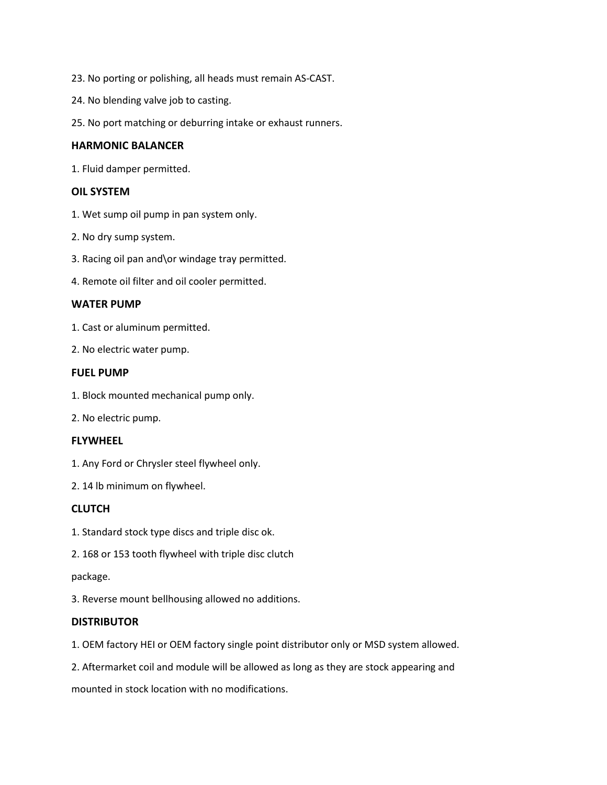- 23. No porting or polishing, all heads must remain AS-CAST.
- 24. No blending valve job to casting.
- 25. No port matching or deburring intake or exhaust runners.

### **HARMONIC BALANCER**

1. Fluid damper permitted.

### **OIL SYSTEM**

- 1. Wet sump oil pump in pan system only.
- 2. No dry sump system.
- 3. Racing oil pan and\or windage tray permitted.
- 4. Remote oil filter and oil cooler permitted.

### **WATER PUMP**

- 1. Cast or aluminum permitted.
- 2. No electric water pump.

### **FUEL PUMP**

- 1. Block mounted mechanical pump only.
- 2. No electric pump.

# **FLYWHEEL**

- 1. Any Ford or Chrysler steel flywheel only.
- 2. 14 lb minimum on flywheel.

# **CLUTCH**

- 1. Standard stock type discs and triple disc ok.
- 2. 168 or 153 tooth flywheel with triple disc clutch

### package.

3. Reverse mount bellhousing allowed no additions.

# **DISTRIBUTOR**

- 1. OEM factory HEI or OEM factory single point distributor only or MSD system allowed.
- 2. Aftermarket coil and module will be allowed as long as they are stock appearing and

mounted in stock location with no modifications.